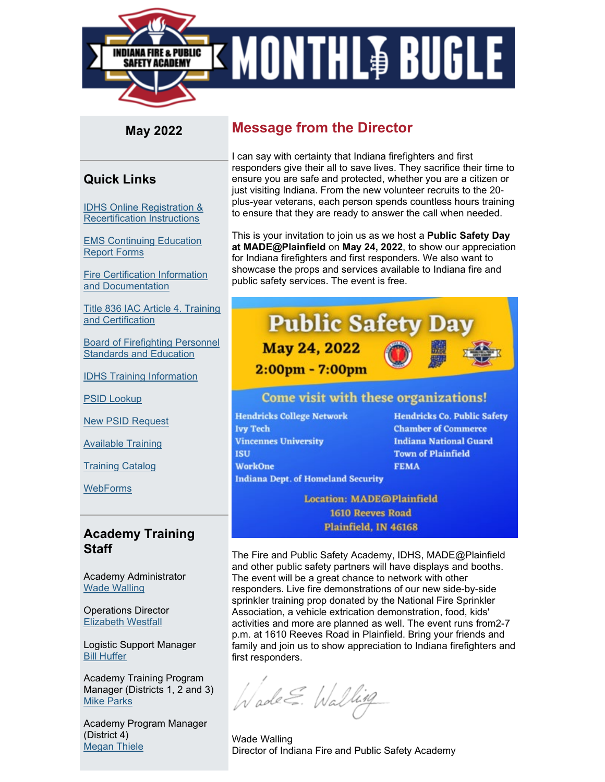

## **May 2022**

## **Quick Links**

[IDHS Online Registration &](https://www.in.gov/dhs/files/Portal_Instructions.pdf?utm_medium=email&utm_source=govdelivery)  [Recertification Instructions](https://www.in.gov/dhs/files/Portal_Instructions.pdf?utm_medium=email&utm_source=govdelivery)

[EMS Continuing Education](https://www.in.gov/dhs/3527.htm?utm_medium=email&utm_source=govdelivery)  [Report Forms](https://www.in.gov/dhs/3527.htm?utm_medium=email&utm_source=govdelivery)

[Fire Certification Information](https://www.in.gov/dhs/firecertification.htm?utm_medium=email&utm_source=govdelivery)  [and Documentation](https://www.in.gov/dhs/firecertification.htm?utm_medium=email&utm_source=govdelivery)

[Title 836 IAC Article 4. Training](http://iac.iga.in.gov/iac/T08360/A00040.PDF?utm_medium=email&utm_source=govdelivery)  [and Certification](http://iac.iga.in.gov/iac/T08360/A00040.PDF?utm_medium=email&utm_source=govdelivery)

[Board of Firefighting Personnel](https://www.in.gov/dhs/2366.htm?utm_medium=email&utm_source=govdelivery)  [Standards and Education](https://www.in.gov/dhs/2366.htm?utm_medium=email&utm_source=govdelivery)

[IDHS Training Information](https://www.in.gov/dhs/fire-and-building-safety/training-section/?utm_medium=email&utm_source=govdelivery)

[PSID Lookup](https://acadisportal.in.gov/acadisviewer/RetrieveAcademyID.aspx?utm_medium=email&utm_source=govdelivery)

[New PSID Request](https://www.in.gov/dhs/3207.htm?utm_medium=email&utm_source=govdelivery)

[Available Training](https://acadisportal.in.gov/AcadisViewer/Registration/ListOfAvailableTraining?utm_medium=email&utm_source=govdelivery)

[Training Catalog](https://acadisportal.in.gov/AcadisViewer/Registration/PublicTrainingCatalog.aspx?utm_medium=email&utm_source=govdelivery)

**[WebForms](https://acadisportal.in.gov/AcadisViewer/WebForms/Public/DataCollectorList.aspx?utm_medium=email&utm_source=govdelivery)** 

## **Academy Training Staff**

Academy Administrator [Wade Walling](mailto:WWalling@dhs.in.gov)

Operations Director [Elizabeth Westfall](mailto:EWestfall@dhs.in.gov)

Logistic Support Manager [Bill Huffer](mailto:WHuffer@dhs.in.gov)

Academy Training Program Manager (Districts 1, 2 and 3) [Mike Parks](mailto:MParks1@dhs.in.gov)

Academy Program Manager (District 4) [Megan Thiele](mailto:mthiele@dhs.in.gov)

## **Message from the Director**

I can say with certainty that Indiana firefighters and first responders give their all to save lives. They sacrifice their time to ensure you are safe and protected, whether you are a citizen or just visiting Indiana. From the new volunteer recruits to the 20 plus-year veterans, each person spends countless hours training to ensure that they are ready to answer the call when needed.

This is your invitation to join us as we host a **Public Safety Day at MADE@Plainfield** on **May 24, 2022**, to show our appreciation for Indiana firefighters and first responders. We also want to showcase the props and services available to Indiana fire and public safety services. The event is free.



## Come visit with these organizations!

**Hendricks College Network Ivy Tech Vincennes University ISU WorkOne** 

**Hendricks Co. Public Safety Chamber of Commerce Indiana National Guard Town of Plainfield FEMA** 

**Indiana Dept. of Homeland Security** 

**Location: MADE@Plainfield 1610 Reeves Road** Plainfield, IN 46168

The Fire and Public Safety Academy, IDHS, MADE@Plainfield and other public safety partners will have displays and booths. The event will be a great chance to network with other responders. Live fire demonstrations of our new side-by-side sprinkler training prop donated by the National Fire Sprinkler Association, a vehicle extrication demonstration, food, kids' activities and more are planned as well. The event runs from2-7 p.m. at 1610 Reeves Road in Plainfield. Bring your friends and family and join us to show appreciation to Indiana firefighters and first responders.

Wade E. Walling

Wade Walling Director of Indiana Fire and Public Safety Academy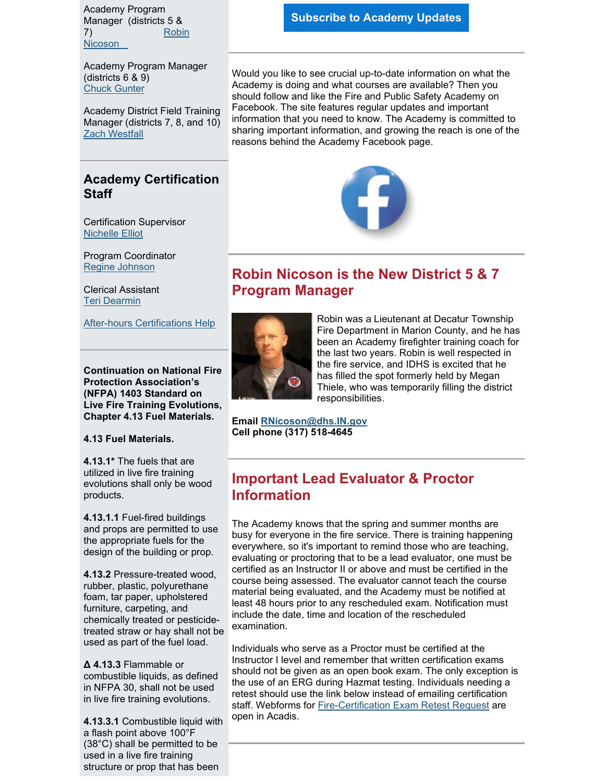Academy Program Manager (districts 5 & 7) [Robin](mailto:RNicoson@dhs.IN.gov)  [Nicoson](mailto:RNicoson@dhs.IN.gov) 

Academy Program Manager (districts 6 & 9) [Chuck Gunter](mailto:cgunter3@dhs.in.gov)

Academy District Field Training Manager (districts 7, 8, and 10) [Zach Westfall](mailto:zwestfall@dhs.in.gov)

## **Academy Certification Staff**

Certification Supervisor [Nichelle Elliot](mailto:nelliott@dhs.in.gov)

Program Coordinator [Regine Johnson](mailto:RHampton@dhs.in.gov) 

Clerical Assistant [Teri Dearmin](mailto:TDearmin@dhs.in.gov)

[After-hours Certifications Help](https://www.in.gov/dhs/firecertification.htm?utm_medium=email&utm_source=govdelivery)

**Continuation on National Fire Protection Association's (NFPA) 1403 Standard on Live Fire Training Evolutions, Chapter 4.13 Fuel Materials.**

#### **4.13 Fuel Materials.**

**4.13.1\*** The fuels that are utilized in live fire training evolutions shall only be wood products.

**4.13.1.1** Fuel-fired buildings and props are permitted to use the appropriate fuels for the design of the building or prop.

**4.13.2** Pressure-treated wood, rubber, plastic, polyurethane foam, tar paper, upholstered furniture, carpeting, and chemically treated or pesticidetreated straw or hay shall not be used as part of the fuel load.

**Δ 4.13.3** Flammable or combustible liquids, as defined in NFPA 30, shall not be used in live fire training evolutions.

**4.13.3.1** Combustible liquid with a flash point above 100°F (38°C) shall be permitted to be used in a live fire training structure or prop that has been

Would you like to see crucial up-to-date information on what the Academy is doing and what courses are available? Then you should follow and like the Fire and Public Safety Academy on Facebook. The site features regular updates and important information that you need to know. The Academy is committed to sharing important information, and growing the reach is one of the reasons behind the Academy Facebook page.



# **Robin Nicoson is the New District 5 & 7 Program Manager**



Robin was a Lieutenant at Decatur Township Fire Department in Marion County, and he has been an Academy firefighter training coach for the last two years. Robin is well respected in the fire service, and IDHS is excited that he has filled the spot formerly held by Megan Thiele, who was temporarily filling the district responsibilities.

**Email [RNicoson@dhs.IN.gov](mailto:RNicoson@dhs.IN.gov) Cell phone (317) 518-4645**

## **Important Lead Evaluator & Proctor Information**

The Academy knows that the spring and summer months are busy for everyone in the fire service. There is training happening everywhere, so it's important to remind those who are teaching, evaluating or proctoring that to be a lead evaluator, one must be certified as an Instructor II or above and must be certified in the course being assessed. The evaluator cannot teach the course material being evaluated, and the Academy must be notified at least 48 hours prior to any rescheduled exam. Notification must include the date, time and location of the rescheduled examination.

Individuals who serve as a Proctor must be certified at the Instructor I level and remember that written certification exams should not be given as an open book exam. The only exception is the use of an ERG during Hazmat testing. Individuals needing a retest should use the link below instead of emailing certification staff. Webforms for [Fire-Certification Exam Retest Request](https://acadisportal.in.gov/AcadisViewer/WebForms/Public/UserDataCollector.aspx?ID=ed282d4f-03ae-4aeb-99ae-edfe0b0c948f&utm_medium=email&utm_source=govdelivery) are open in Acadis.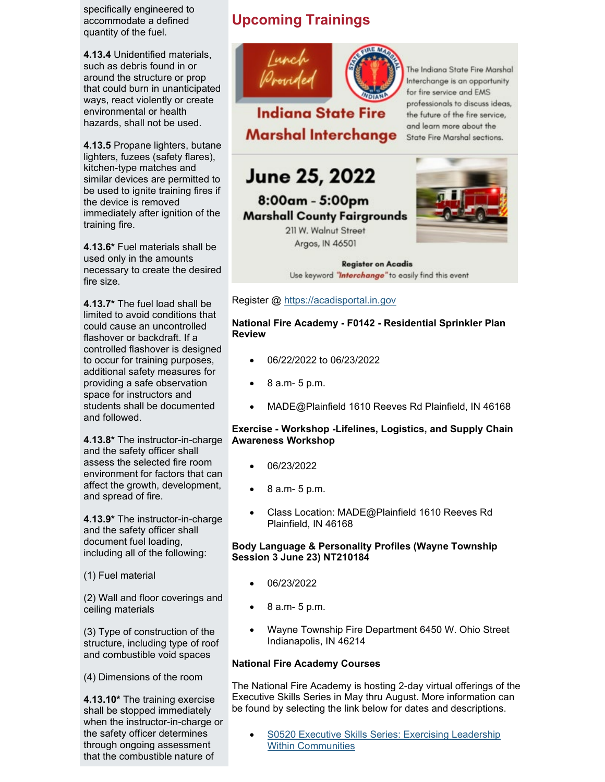specifically engineered to accommodate a defined quantity of the fuel.

**4.13.4** Unidentified materials, such as debris found in or around the structure or prop that could burn in unanticipated ways, react violently or create environmental or health hazards, shall not be used.

**4.13.5** Propane lighters, butane lighters, fuzees (safety flares), kitchen-type matches and similar devices are permitted to be used to ignite training fires if the device is removed immediately after ignition of the training fire.

**4.13.6\*** Fuel materials shall be used only in the amounts necessary to create the desired fire size.

**4.13.7\*** The fuel load shall be limited to avoid conditions that could cause an uncontrolled flashover or backdraft. If a controlled flashover is designed to occur for training purposes, additional safety measures for providing a safe observation space for instructors and students shall be documented and followed.

**4.13.8\*** The instructor-in-charge and the safety officer shall assess the selected fire room environment for factors that can affect the growth, development, and spread of fire.

**4.13.9\*** The instructor-in-charge and the safety officer shall document fuel loading, including all of the following:

(1) Fuel material

(2) Wall and floor coverings and ceiling materials

(3) Type of construction of the structure, including type of roof and combustible void spaces

(4) Dimensions of the room

**4.13.10\*** The training exercise shall be stopped immediately when the instructor-in-charge or the safety officer determines through ongoing assessment that the combustible nature of

# **Upcoming Trainings**



**Indiana State Fire Marshal Interchange**  The Indiana State Fire Marshal Interchange is an opportunity for fire service and EMS professionals to discuss ideas, the future of the fire service, and learn more about the State Fire Marshal sections.

# June 25, 2022

8:00am - 5:00pm **Marshall County Fairgrounds** 

> 211 W. Walnut Street Argos, IN 46501



**Register on Acadis** Use keyword "Interchange" to easily find this event

Register @ [https://acadisportal.in.gov](https://acadisportal.in.gov/?utm_medium=email&utm_source=govdelivery)

**National Fire Academy - F0142 - Residential Sprinkler Plan Review**

- 06/22/2022 to 06/23/2022
- 8 a.m- 5 p.m.
- MADE@Plainfield 1610 Reeves Rd Plainfield, IN 46168

### **Exercise - Workshop -Lifelines, Logistics, and Supply Chain Awareness Workshop**

- 06/23/2022
- 8 a.m- 5 p.m.
- Class Location: MADE@Plainfield 1610 Reeves Rd Plainfield, IN 46168

### **Body Language & Personality Profiles (Wayne Township Session 3 June 23) NT210184**

- 06/23/2022
- 8 a.m- 5 p.m.
- Wayne Township Fire Department 6450 W. Ohio Street Indianapolis, IN 46214

### **National Fire Academy Courses**

The National Fire Academy is hosting 2-day virtual offerings of the Executive Skills Series in May thru August. More information can be found by selecting the link below for dates and descriptions.

S0520 Executive Skills Series: Exercising Leadership [Within Communities](https://apps.usfa.fema.gov/nfacourses/catalog/details/10837?utm_medium=email&utm_source=govdelivery)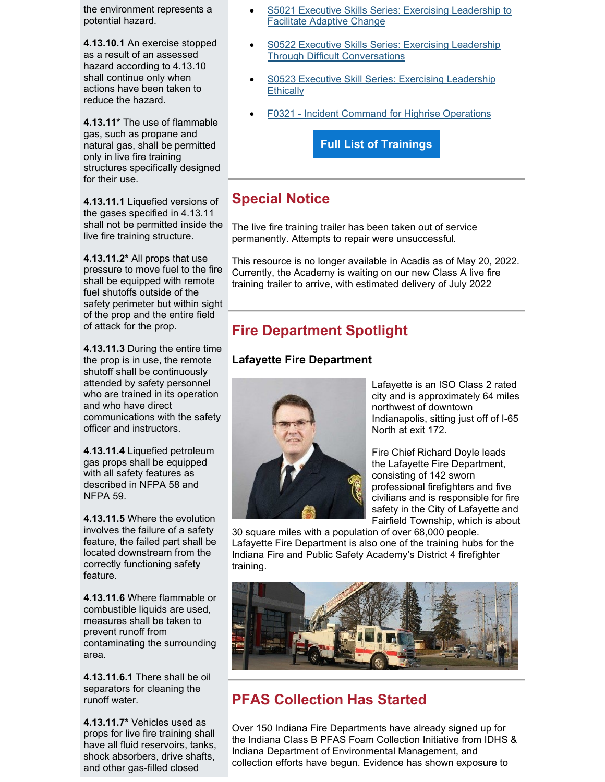the environment represents a potential hazard.

**4.13.10.1** An exercise stopped as a result of an assessed hazard according to 4.13.10 shall continue only when actions have been taken to reduce the hazard.

**4.13.11\*** The use of flammable gas, such as propane and natural gas, shall be permitted only in live fire training structures specifically designed for their use.

**4.13.11.1** Liquefied versions of the gases specified in 4.13.11 shall not be permitted inside the live fire training structure.

**4.13.11.2\*** All props that use pressure to move fuel to the fire shall be equipped with remote fuel shutoffs outside of the safety perimeter but within sight of the prop and the entire field of attack for the prop.

**4.13.11.3** During the entire time the prop is in use, the remote shutoff shall be continuously attended by safety personnel who are trained in its operation and who have direct communications with the safety officer and instructors.

**4.13.11.4** Liquefied petroleum gas props shall be equipped with all safety features as described in NFPA 58 and NFPA 59.

**4.13.11.5** Where the evolution involves the failure of a safety feature, the failed part shall be located downstream from the correctly functioning safety feature.

**4.13.11.6** Where flammable or combustible liquids are used, measures shall be taken to prevent runoff from contaminating the surrounding area.

**4.13.11.6.1** There shall be oil separators for cleaning the runoff water.

**4.13.11.7\*** Vehicles used as props for live fire training shall have all fluid reservoirs, tanks, shock absorbers, drive shafts, and other gas-filled closed

- [S5021 Executive Skills Series: Exercising Leadership to](https://apps.usfa.fema.gov/nfacourses/catalog/details/10465?utm_medium=email&utm_source=govdelivery)  [Facilitate Adaptive Change](https://apps.usfa.fema.gov/nfacourses/catalog/details/10465?utm_medium=email&utm_source=govdelivery)
- S0522 Executive Skills Series: Exercising Leadership [Through Difficult Conversations](https://apps.usfa.fema.gov/nfacourses/catalog/details/10467?utm_medium=email&utm_source=govdelivery)
- S0523 Executive Skill Series: Exercising Leadership **[Ethically](https://apps.usfa.fema.gov/nfacourses/catalog/details/10522?utm_medium=email&utm_source=govdelivery)**
- [F0321 Incident Command for Highrise Operations](https://acadisportal.in.gov/?utm_medium=email&utm_source=govdelivery)

**[Full List of Trainings](https://protect2.fireeye.com/v1/url?k=31323334-50bba2bf-31367a34-4544474f5631-3ba794f1c221f16f&q=1&e=14a33490-eb2f-48f1-a74e-c7a44e3f148a&u=https%3A%2F%2Fcontent.govdelivery.com%2Fattachments%2FINDHS%2F2022%2F05%2F18%2Ffile_attachments%2F2161669%2FUpcoming%2520Trainings%2520May%2520Bugle.docx)**

# **Special Notice**

The live fire training trailer has been taken out of service permanently. Attempts to repair were unsuccessful.

This resource is no longer available in Acadis as of May 20, 2022. Currently, the Academy is waiting on our new Class A live fire training trailer to arrive, with estimated delivery of July 2022

# **Fire Department Spotlight**

### **Lafayette Fire Department**



Lafayette is an ISO Class 2 rated city and is approximately 64 miles northwest of downtown Indianapolis, sitting just off of I-65 North at exit 172.

Fire Chief Richard Doyle leads the Lafayette Fire Department, consisting of 142 sworn professional firefighters and five civilians and is responsible for fire safety in the City of Lafayette and Fairfield Township, which is about

30 square miles with a population of over 68,000 people. Lafayette Fire Department is also one of the training hubs for the Indiana Fire and Public Safety Academy's District 4 firefighter training.



# **PFAS Collection Has Started**

Over 150 Indiana Fire Departments have already signed up for the Indiana Class B PFAS Foam Collection Initiative from IDHS & Indiana Department of Environmental Management, and collection efforts have begun. Evidence has shown exposure to